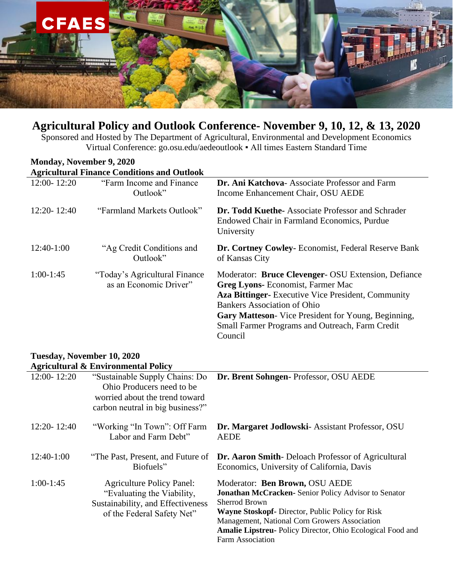

## **Agricultural Policy and Outlook Conference- November 9, 10, 12, & 13, 2020**

Sponsored and Hosted by The Department of Agricultural, Environmental and Development Economics Virtual Conference: go.osu.edu/aedeoutlook ▪ All times Eastern Standard Time

| Monday, November 9, 2020                       |                                                                                                                                   |                                                                                                                                                                                                                                                                                                                         |  |  |
|------------------------------------------------|-----------------------------------------------------------------------------------------------------------------------------------|-------------------------------------------------------------------------------------------------------------------------------------------------------------------------------------------------------------------------------------------------------------------------------------------------------------------------|--|--|
|                                                | <b>Agricultural Finance Conditions and Outlook</b>                                                                                |                                                                                                                                                                                                                                                                                                                         |  |  |
| 12:00-12:20                                    | "Farm Income and Finance"<br>Outlook"                                                                                             | Dr. Ani Katchova- Associate Professor and Farm<br>Income Enhancement Chair, OSU AEDE                                                                                                                                                                                                                                    |  |  |
| $12:20 - 12:40$                                | "Farmland Markets Outlook"                                                                                                        | Dr. Todd Kuethe-Associate Professor and Schrader<br>Endowed Chair in Farmland Economics, Purdue<br>University                                                                                                                                                                                                           |  |  |
| 12:40-1:00                                     | "Ag Credit Conditions and<br>Outlook"                                                                                             | Dr. Cortney Cowley- Economist, Federal Reserve Bank<br>of Kansas City                                                                                                                                                                                                                                                   |  |  |
| $1:00-1:45$                                    | "Today's Agricultural Finance"<br>as an Economic Driver"                                                                          | Moderator: Bruce Clevenger- OSU Extension, Defiance<br><b>Greg Lyons-</b> Economist, Farmer Mac<br><b>Aza Bittinger-</b> Executive Vice President, Community<br><b>Bankers Association of Ohio</b><br>Gary Matteson- Vice President for Young, Beginning,<br>Small Farmer Programs and Outreach, Farm Credit<br>Council |  |  |
| Tuesday, November 10, 2020                     |                                                                                                                                   |                                                                                                                                                                                                                                                                                                                         |  |  |
| <b>Agricultural &amp; Environmental Policy</b> |                                                                                                                                   |                                                                                                                                                                                                                                                                                                                         |  |  |
| 12:00-12:20                                    | "Sustainable Supply Chains: Do<br>Ohio Producers need to be<br>worried about the trend toward<br>carbon neutral in big business?" | Dr. Brent Sohngen- Professor, OSU AEDE                                                                                                                                                                                                                                                                                  |  |  |

Labor and Farm Debt"

12:20- 12:40 "Working "In Town": Off Farm **Dr. Margaret Jodlowski**- Assistant Professor, OSU AEDE

| $12:40-1:00$ | Biofuels"                        | "The Past, Present, and Future of <b>Dr. Aaron Smith</b> -Deloach Professor of Agricultural<br>Economics, University of California, Davis |
|--------------|----------------------------------|-------------------------------------------------------------------------------------------------------------------------------------------|
| $1:00-1:45$  | <b>Agriculture Policy Panel:</b> | Moderator: Ben Brown, OSU AEDE                                                                                                            |

| Moderator. Dell Drowit, OSO ALDL                            |
|-------------------------------------------------------------|
| <b>Jonathan McCracken-</b> Senior Policy Advisor to Senator |
| Sherrod Brown                                               |
| <b>Wayne Stoskopf-</b> Director, Public Policy for Risk     |
| Management, National Corn Growers Association               |
| Amalie Lipstreu- Policy Director, Ohio Ecological Food and  |
| Farm Association                                            |
|                                                             |